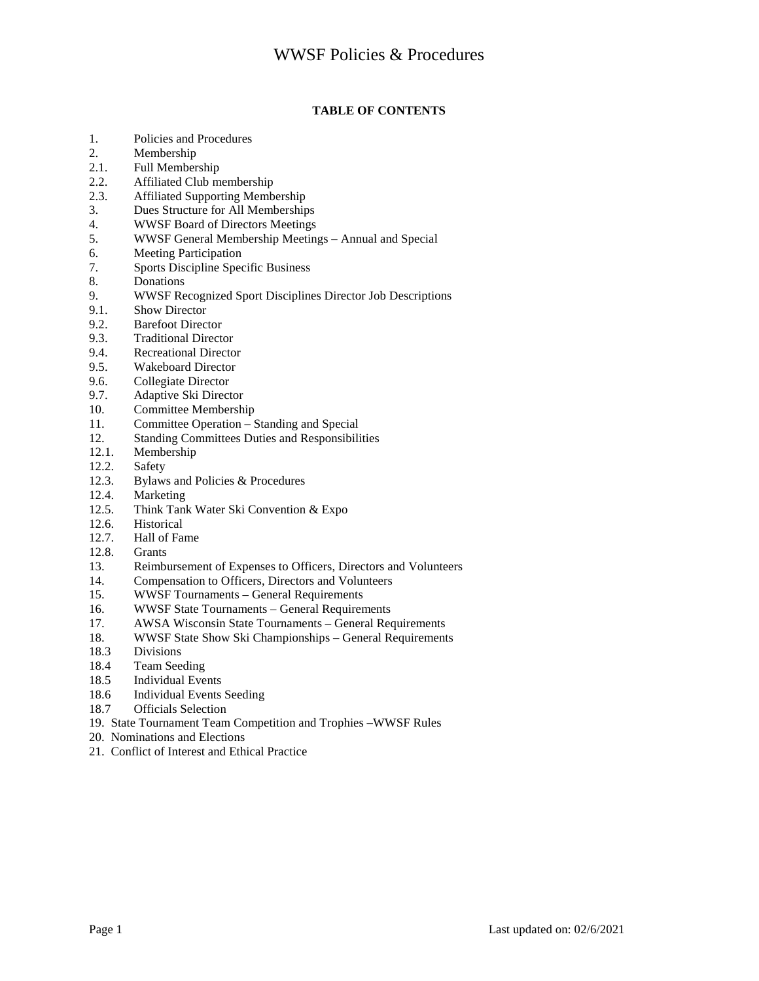### **TABLE OF CONTENTS**

- 1. Policies and Procedures<br>2. Membership
- **Membership**
- 2.1. Full Membership
- 2.2. Affiliated Club membership
- 2.3. Affiliated Supporting Membership
- 3. Dues Structure for All Memberships
- 4. WWSF Board of Directors Meetings<br>5. WWSF General Membership Meetin
- 5. WWSF General Membership Meetings Annual and Special
- 6. Meeting Participation
- 7. Sports Discipline Specific Business
- 8. Donations
- 9. WWSF Recognized Sport Disciplines Director Job Descriptions
- 9.1. Show Director
- 9.2. Barefoot Director
- 9.3. Traditional Director
- 9.4. Recreational Director
- 9.5. Wakeboard Director
- 9.6. Collegiate Director
- 9.7. Adaptive Ski Director<br>10. Committee Membershi
- 10. Committee Membership<br>11. Committee Operation S
- Committee Operation Standing and Special
- 12. Standing Committees Duties and Responsibilities<br>12.1. Membership
- Membership
- 12.2. Safety
- 12.3. Bylaws and Policies & Procedures 12.4. Marketing
- Marketing
- 12.5. Think Tank Water Ski Convention & Expo
- 12.6. Historical<br>12.7. Hall of Fa
- Hall of Fame
- 12.8. Grants
- 13. Reimbursement of Expenses to Officers, Directors and Volunteers<br>14. Compensation to Officers, Directors and Volunteers
- 14. Compensation to Officers, Directors and Volunteers<br>15. WWSF Tournaments General Requirements
- 15. WWSF Tournaments General Requirements
- 16. WWSF State Tournaments General Requirements<br>17. AWSA Wisconsin State Tournaments General Reg
- 17. AWSA Wisconsin State Tournaments General Requirements
- 18. WWSF State Show Ski Championships General Requirements
- 18.3 Divisions
- 18.4 Team Seeding
- 18.5 Individual Events
- 18.6 Individual Events Seeding
- 18.7 Officials Selection
- 19. State Tournament Team Competition and Trophies –WWSF Rules
- 20. Nominations and Elections
- 21. Conflict of Interest and Ethical Practice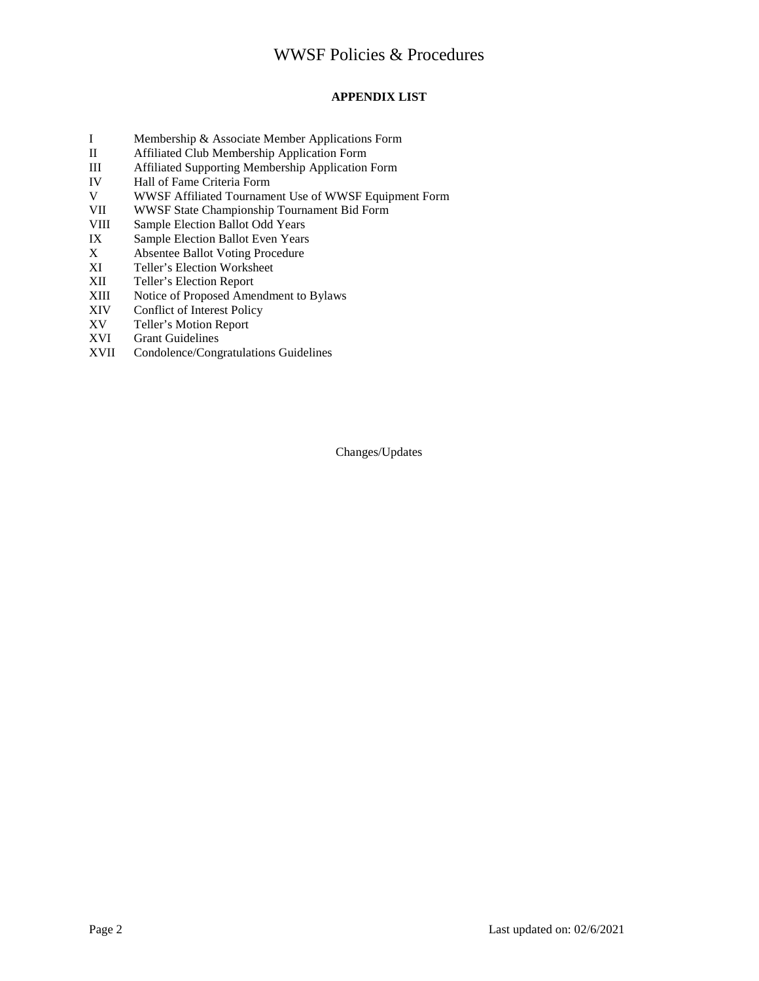### **APPENDIX LIST**

- I Membership & Associate Member Applications Form
- Affiliated Club Membership Application Form
- III Affiliated Supporting Membership Application Form
- IV Hall of Fame Criteria Form
- V WWSF Affiliated Tournament Use of WWSF Equipment Form
- VII WWSF State Championship Tournament Bid Form<br>VIII Sample Election Ballot Odd Years
- VIII Sample Election Ballot Odd Years<br>IX Sample Election Ballot Even Years
- IX Sample Election Ballot Even Years<br>
X Absentee Ballot Voting Procedure
- X Absentee Ballot Voting Procedure<br>XI Teller's Election Worksheet
- Teller's Election Worksheet
- XII Teller's Election Report
- XIII Notice of Proposed Amendment to Bylaws
- XIV Conflict of Interest Policy
- XV Teller's Motion Report<br>XVI Grant Guidelines
- **Grant Guidelines**
- XVII Condolence/Congratulations Guidelines

Changes/Updates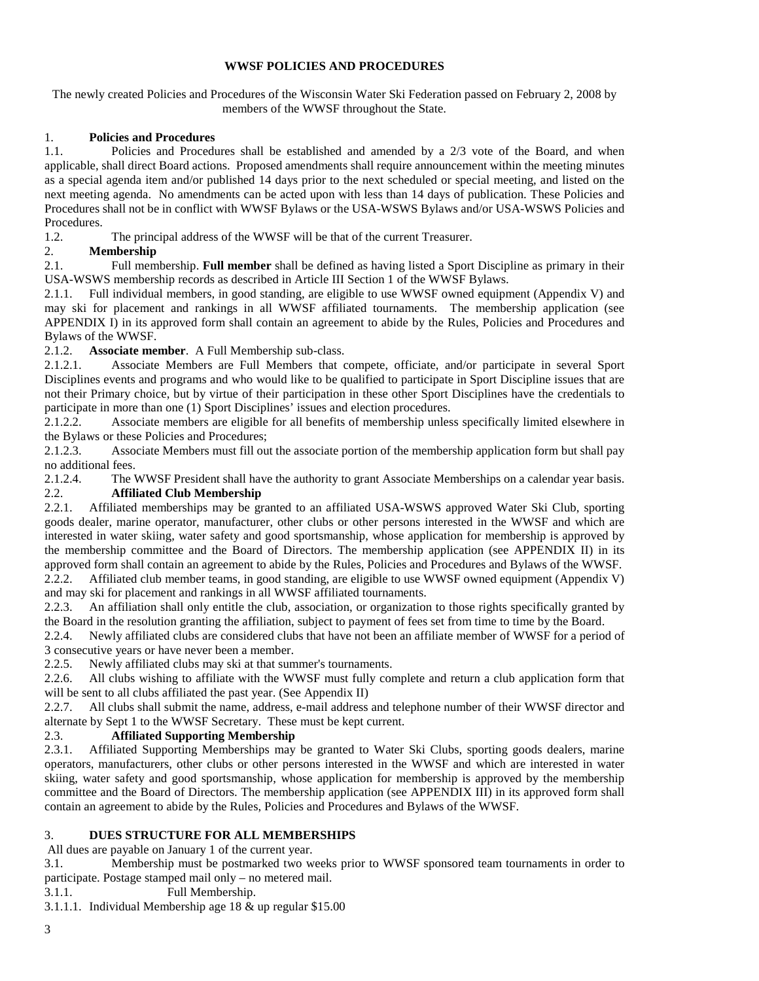#### **WWSF POLICIES AND PROCEDURES**

The newly created Policies and Procedures of the Wisconsin Water Ski Federation passed on February 2, 2008 by members of the WWSF throughout the State.

#### 1. **Policies and Procedures**

1.1. Policies and Procedures shall be established and amended by a 2/3 vote of the Board, and when applicable, shall direct Board actions. Proposed amendments shall require announcement within the meeting minutes as a special agenda item and/or published 14 days prior to the next scheduled or special meeting, and listed on the next meeting agenda. No amendments can be acted upon with less than 14 days of publication. These Policies and Procedures shall not be in conflict with WWSF Bylaws or the USA-WSWS Bylaws and/or USA-WSWS Policies and Procedures.

1.2. The principal address of the WWSF will be that of the current Treasurer.

### 2. **Membership**

2.1. Full membership. **Full member** shall be defined as having listed a Sport Discipline as primary in their USA-WSWS membership records as described in Article III Section 1 of the WWSF Bylaws.

2.1.1. Full individual members, in good standing, are eligible to use WWSF owned equipment (Appendix V) and may ski for placement and rankings in all WWSF affiliated tournaments. The membership application (see APPENDIX I) in its approved form shall contain an agreement to abide by the Rules, Policies and Procedures and Bylaws of the WWSF.

2.1.2. **Associate member**. A Full Membership sub-class.

2.1.2.1. Associate Members are Full Members that compete, officiate, and/or participate in several Sport Disciplines events and programs and who would like to be qualified to participate in Sport Discipline issues that are not their Primary choice, but by virtue of their participation in these other Sport Disciplines have the credentials to participate in more than one (1) Sport Disciplines' issues and election procedures.

2.1.2.2. Associate members are eligible for all benefits of membership unless specifically limited elsewhere in the Bylaws or these Policies and Procedures;<br>2.1.2.3. Associate Members must fill out

Associate Members must fill out the associate portion of the membership application form but shall pay no additional fees.

2.1.2.4. The WWSF President shall have the authority to grant Associate Memberships on a calendar year basis. 2.2. **Affiliated Club Membership**

2.2.1. Affiliated memberships may be granted to an affiliated USA-WSWS approved Water Ski Club, sporting goods dealer, marine operator, manufacturer, other clubs or other persons interested in the WWSF and which are interested in water skiing, water safety and good sportsmanship, whose application for membership is approved by the membership committee and the Board of Directors. The membership application (see APPENDIX II) in its approved form shall contain an agreement to abide by the Rules, Policies and Procedures and Bylaws of the WWSF.<br>2.2.2. Affiliated club member teams, in good standing, are eligible to use WWSF owned equipment (Appendix V) 2.2.2. Affiliated club member teams, in good standing, are eligible to use WWSF owned equipment (Appendix V)

and may ski for placement and rankings in all WWSF affiliated tournaments.

2.2.3. An affiliation shall only entitle the club, association, or organization to those rights specifically granted by the Board in the resolution granting the affiliation, subject to payment of fees set from time to time by the Board.

2.2.4. Newly affiliated clubs are considered clubs that have not been an affiliate member of WWSF for a period of 3 consecutive years or have never been a member.

2.2.5. Newly affiliated clubs may ski at that summer's tournaments.

2.2.6. All clubs wishing to affiliate with the WWSF must fully complete and return a club application form that will be sent to all clubs affiliated the past year. (See Appendix II)

2.2.7. All clubs shall submit the name, address, e-mail address and telephone number of their WWSF director and alternate by Sept 1 to the WWSF Secretary. These must be kept current.

# 2.3. **Affiliated Supporting Membership**

2.3.1. Affiliated Supporting Memberships may be granted to Water Ski Clubs, sporting goods dealers, marine operators, manufacturers, other clubs or other persons interested in the WWSF and which are interested in water skiing, water safety and good sportsmanship, whose application for membership is approved by the membership committee and the Board of Directors. The membership application (see APPENDIX III) in its approved form shall contain an agreement to abide by the Rules, Policies and Procedures and Bylaws of the WWSF.

### 3. **DUES STRUCTURE FOR ALL MEMBERSHIPS**

All dues are payable on January 1 of the current year.

3.1. Membership must be postmarked two weeks prior to WWSF sponsored team tournaments in order to participate. Postage stamped mail only – no metered mail.

3.1.1. Full Membership.

3.1.1.1. Individual Membership age 18 & up regular \$15.00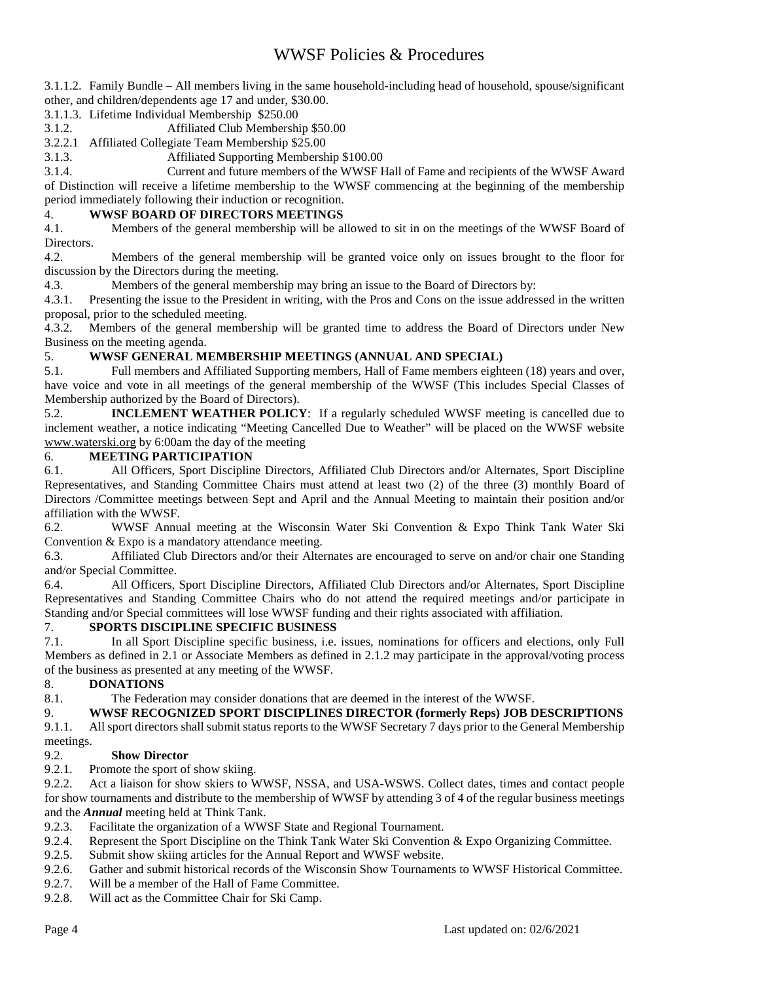3.1.1.2. Family Bundle – All members living in the same household-including head of household, spouse/significant other, and children/dependents age 17 and under, \$30.00.

- 3.1.1.3. Lifetime Individual Membership \$250.00
- 3.1.2. Affiliated Club Membership \$50.00
- 3.2.2.1 Affiliated Collegiate Team Membership \$25.00

3.1.3. Affiliated Supporting Membership \$100.00

3.1.4. Current and future members of the WWSF Hall of Fame and recipients of the WWSF Award of Distinction will receive a lifetime membership to the WWSF commencing at the beginning of the membership period immediately following their induction or recognition.

### 4. **WWSF BOARD OF DIRECTORS MEETINGS**

4.1. Members of the general membership will be allowed to sit in on the meetings of the WWSF Board of Directors.

4.2. Members of the general membership will be granted voice only on issues brought to the floor for discussion by the Directors during the meeting.

4.3. Members of the general membership may bring an issue to the Board of Directors by:

4.3.1. Presenting the issue to the President in writing, with the Pros and Cons on the issue addressed in the written proposal, prior to the scheduled meeting.

4.3.2. Members of the general membership will be granted time to address the Board of Directors under New Business on the meeting agenda.

### 5. **WWSF GENERAL MEMBERSHIP MEETINGS (ANNUAL AND SPECIAL)**

5.1. Full members and Affiliated Supporting members, Hall of Fame members eighteen (18) years and over, have voice and vote in all meetings of the general membership of the WWSF (This includes Special Classes of Membership authorized by the Board of Directors).

5.2. **INCLEMENT WEATHER POLICY**: If a regularly scheduled WWSF meeting is cancelled due to inclement weather, a notice indicating "Meeting Cancelled Due to Weather" will be placed on the WWSF website www.waterski.org by 6:00am the day of the meeting

### 6. **MEETING PARTICIPATION**

6.1. All Officers, Sport Discipline Directors, Affiliated Club Directors and/or Alternates, Sport Discipline Representatives, and Standing Committee Chairs must attend at least two (2) of the three (3) monthly Board of Directors /Committee meetings between Sept and April and the Annual Meeting to maintain their position and/or affiliation with the WWSF.

6.2. WWSF Annual meeting at the Wisconsin Water Ski Convention & Expo Think Tank Water Ski Convention & Expo is a mandatory attendance meeting.

6.3. Affiliated Club Directors and/or their Alternates are encouraged to serve on and/or chair one Standing and/or Special Committee.

6.4. All Officers, Sport Discipline Directors, Affiliated Club Directors and/or Alternates, Sport Discipline Representatives and Standing Committee Chairs who do not attend the required meetings and/or participate in Standing and/or Special committees will lose WWSF funding and their rights associated with affiliation.

### 7. **SPORTS DISCIPLINE SPECIFIC BUSINESS**

7.1. In all Sport Discipline specific business, i.e. issues, nominations for officers and elections, only Full Members as defined in 2.1 or Associate Members as defined in 2.1.2 may participate in the approval/voting process of the business as presented at any meeting of the WWSF.

8. **DONATIONS**<br>8.1. The Federa The Federation may consider donations that are deemed in the interest of the WWSF.

### 9. **WWSF RECOGNIZED SPORT DISCIPLINES DIRECTOR (formerly Reps) JOB DESCRIPTIONS**

9.1.1. All sport directors shall submit status reports to the WWSF Secretary 7 days prior to the General Membership meetings.

### 9.2. **Show Director**

9.2.1. Promote the sport of show skiing.

9.2.2. Act a liaison for show skiers to WWSF, NSSA, and USA-WSWS. Collect dates, times and contact people for show tournaments and distribute to the membership of WWSF by attending 3 of 4 of the regular business meetings and the *Annual* meeting held at Think Tank.

- 9.2.3. Facilitate the organization of a WWSF State and Regional Tournament.
- 9.2.4. Represent the Sport Discipline on the Think Tank Water Ski Convention & Expo Organizing Committee.
- 9.2.5. Submit show skiing articles for the Annual Report and WWSF website.
- 9.2.6. Gather and submit historical records of the Wisconsin Show Tournaments to WWSF Historical Committee.
- 9.2.7. Will be a member of the Hall of Fame Committee.
- 9.2.8. Will act as the Committee Chair for Ski Camp.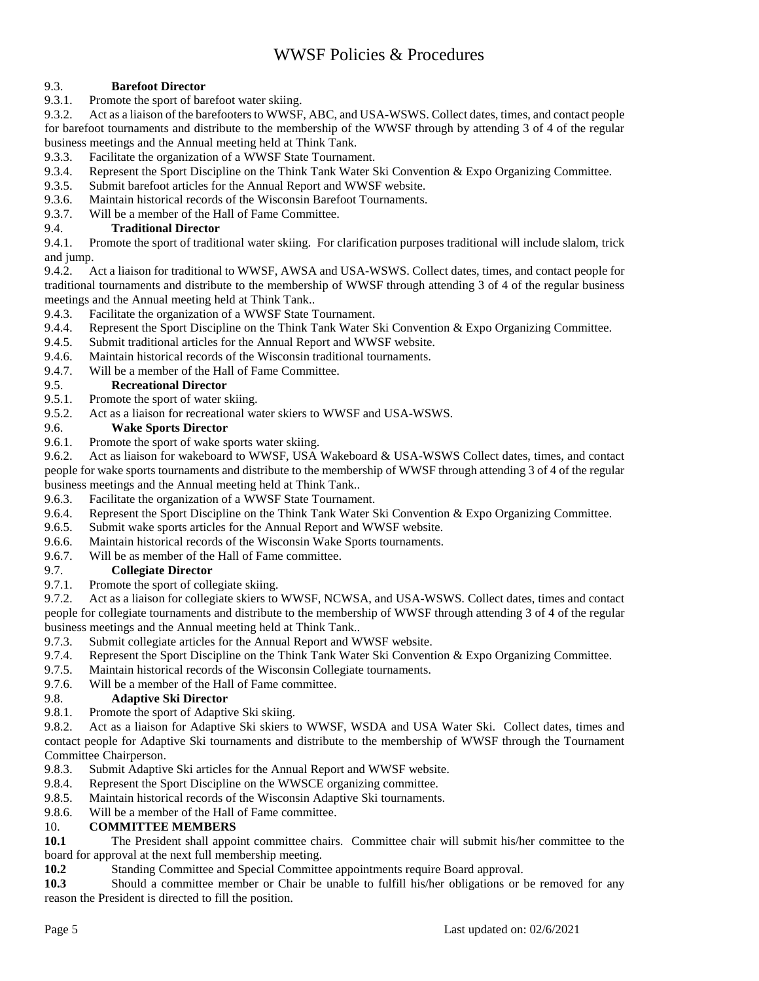### 9.3. **Barefoot Director**

9.3.1. Promote the sport of barefoot water skiing.

9.3.2. Act as a liaison of the barefooters to WWSF, ABC, and USA-WSWS. Collect dates, times, and contact people for barefoot tournaments and distribute to the membership of the WWSF through by attending 3 of 4 of the regular business meetings and the Annual meeting held at Think Tank.

- 9.3.3. Facilitate the organization of a WWSF State Tournament.
- 9.3.4. Represent the Sport Discipline on the Think Tank Water Ski Convention & Expo Organizing Committee.
- 9.3.5. Submit barefoot articles for the Annual Report and WWSF website.
- 9.3.6. Maintain historical records of the Wisconsin Barefoot Tournaments.
- 9.3.7. Will be a member of the Hall of Fame Committee.

### 9.4. **Traditional Director**

9.4.1. Promote the sport of traditional water skiing. For clarification purposes traditional will include slalom, trick and jump.

9.4.2. Act a liaison for traditional to WWSF, AWSA and USA-WSWS. Collect dates, times, and contact people for traditional tournaments and distribute to the membership of WWSF through attending 3 of 4 of the regular business meetings and the Annual meeting held at Think Tank..

- 9.4.3. Facilitate the organization of a WWSF State Tournament.
- 9.4.4. Represent the Sport Discipline on the Think Tank Water Ski Convention & Expo Organizing Committee.
- 9.4.5. Submit traditional articles for the Annual Report and WWSF website.
- 9.4.6. Maintain historical records of the Wisconsin traditional tournaments.
- 9.4.7. Will be a member of the Hall of Fame Committee.

### 9.5. **Recreational Director**

- 9.5.1. Promote the sport of water skiing.
- 9.5.2. Act as a liaison for recreational water skiers to WWSF and USA-WSWS.

# 9.6. **Wake Sports Director**

Promote the sport of wake sports water skiing.

9.6.2. Act as liaison for wakeboard to WWSF, USA Wakeboard & USA-WSWS Collect dates, times, and contact people for wake sports tournaments and distribute to the membership of WWSF through attending 3 of 4 of the regular business meetings and the Annual meeting held at Think Tank..

- 9.6.3. Facilitate the organization of a WWSF State Tournament.
- 9.6.4. Represent the Sport Discipline on the Think Tank Water Ski Convention & Expo Organizing Committee.
- 9.6.5. Submit wake sports articles for the Annual Report and WWSF website.
- 9.6.6. Maintain historical records of the Wisconsin Wake Sports tournaments.
- 9.6.7. Will be as member of the Hall of Fame committee.

### 9.7. **Collegiate Director**

9.7.1. Promote the sport of collegiate skiing.

9.7.2. Act as a liaison for collegiate skiers to WWSF, NCWSA, and USA-WSWS. Collect dates, times and contact people for collegiate tournaments and distribute to the membership of WWSF through attending 3 of 4 of the regular business meetings and the Annual meeting held at Think Tank..

- 9.7.3. Submit collegiate articles for the Annual Report and WWSF website.
- 9.7.4. Represent the Sport Discipline on the Think Tank Water Ski Convention & Expo Organizing Committee.
- 9.7.5. Maintain historical records of the Wisconsin Collegiate tournaments.
- 9.7.6. Will be a member of the Hall of Fame committee.

### 9.8. **Adaptive Ski Director**

9.8.1. Promote the sport of Adaptive Ski skiing.

9.8.2. Act as a liaison for Adaptive Ski skiers to WWSF, WSDA and USA Water Ski. Collect dates, times and contact people for Adaptive Ski tournaments and distribute to the membership of WWSF through the Tournament Committee Chairperson.

- 9.8.3. Submit Adaptive Ski articles for the Annual Report and WWSF website.
- 9.8.4. Represent the Sport Discipline on the WWSCE organizing committee.
- 9.8.5. Maintain historical records of the Wisconsin Adaptive Ski tournaments.
- 9.8.6. Will be a member of the Hall of Fame committee.

### 10. **COMMITTEE MEMBERS**

**10.1 The President shall appoint committee chairs. Committee chair will submit his/her committee to the** board for approval at the next full membership meeting.

**10.2** Standing Committee and Special Committee appointments require Board approval.

**10.3** Should a committee member or Chair be unable to fulfill his/her obligations or be removed for any reason the President is directed to fill the position.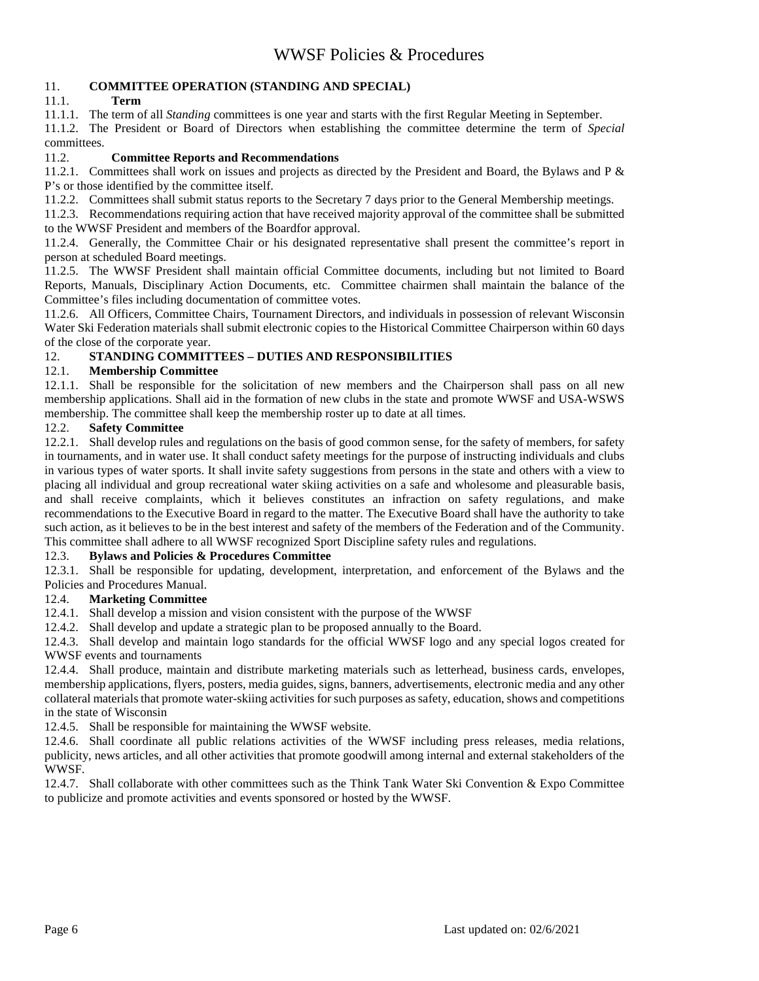### 11. **COMMITTEE OPERATION (STANDING AND SPECIAL)**

### 11.1. **Term**

11.1.1. The term of all *Standing* committees is one year and starts with the first Regular Meeting in September.

11.1.2. The President or Board of Directors when establishing the committee determine the term of *Special* committees.

### 11.2. **Committee Reports and Recommendations**

11.2.1. Committees shall work on issues and projects as directed by the President and Board, the Bylaws and P & P's or those identified by the committee itself.

11.2.2. Committees shall submit status reports to the Secretary 7 days prior to the General Membership meetings.

11.2.3. Recommendations requiring action that have received majority approval of the committee shall be submitted to the WWSF President and members of the Boardfor approval.

11.2.4. Generally, the Committee Chair or his designated representative shall present the committee's report in person at scheduled Board meetings.

11.2.5. The WWSF President shall maintain official Committee documents, including but not limited to Board Reports, Manuals, Disciplinary Action Documents, etc. Committee chairmen shall maintain the balance of the Committee's files including documentation of committee votes.

11.2.6. All Officers, Committee Chairs, Tournament Directors, and individuals in possession of relevant Wisconsin Water Ski Federation materials shall submit electronic copies to the Historical Committee Chairperson within 60 days of the close of the corporate year.

### 12. **STANDING COMMITTEES – DUTIES AND RESPONSIBILITIES**

### 12.1. **Membership Committee**

12.1.1. Shall be responsible for the solicitation of new members and the Chairperson shall pass on all new membership applications. Shall aid in the formation of new clubs in the state and promote WWSF and USA-WSWS membership. The committee shall keep the membership roster up to date at all times.

### 12.2. **Safety Committee**

12.2.1. Shall develop rules and regulations on the basis of good common sense, for the safety of members, for safety in tournaments, and in water use. It shall conduct safety meetings for the purpose of instructing individuals and clubs in various types of water sports. It shall invite safety suggestions from persons in the state and others with a view to placing all individual and group recreational water skiing activities on a safe and wholesome and pleasurable basis, and shall receive complaints, which it believes constitutes an infraction on safety regulations, and make recommendations to the Executive Board in regard to the matter. The Executive Board shall have the authority to take such action, as it believes to be in the best interest and safety of the members of the Federation and of the Community. This committee shall adhere to all WWSF recognized Sport Discipline safety rules and regulations.

### 12.3. **Bylaws and Policies & Procedures Committee**

12.3.1. Shall be responsible for updating, development, interpretation, and enforcement of the Bylaws and the Policies and Procedures Manual.

### 12.4. **Marketing Committee**

12.4.1. Shall develop a mission and vision consistent with the purpose of the WWSF

12.4.2. Shall develop and update a strategic plan to be proposed annually to the Board.

12.4.3. Shall develop and maintain logo standards for the official WWSF logo and any special logos created for WWSF events and tournaments

12.4.4. Shall produce, maintain and distribute marketing materials such as letterhead, business cards, envelopes, membership applications, flyers, posters, media guides, signs, banners, advertisements, electronic media and any other collateral materials that promote water-skiing activities for such purposes as safety, education, shows and competitions in the state of Wisconsin

12.4.5. Shall be responsible for maintaining the WWSF website.

12.4.6. Shall coordinate all public relations activities of the WWSF including press releases, media relations, publicity, news articles, and all other activities that promote goodwill among internal and external stakeholders of the WWSF.

12.4.7. Shall collaborate with other committees such as the Think Tank Water Ski Convention & Expo Committee to publicize and promote activities and events sponsored or hosted by the WWSF.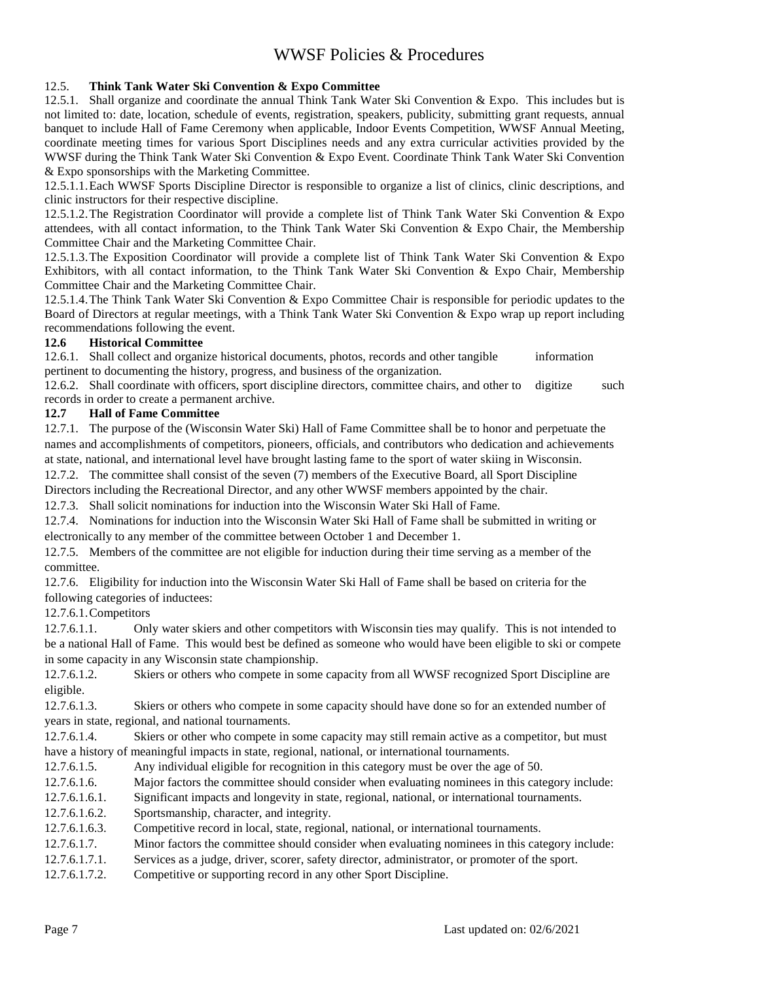### 12.5. **Think Tank Water Ski Convention & Expo Committee**

12.5.1. Shall organize and coordinate the annual Think Tank Water Ski Convention & Expo. This includes but is not limited to: date, location, schedule of events, registration, speakers, publicity, submitting grant requests, annual banquet to include Hall of Fame Ceremony when applicable, Indoor Events Competition, WWSF Annual Meeting, coordinate meeting times for various Sport Disciplines needs and any extra curricular activities provided by the WWSF during the Think Tank Water Ski Convention & Expo Event. Coordinate Think Tank Water Ski Convention & Expo sponsorships with the Marketing Committee.

12.5.1.1.Each WWSF Sports Discipline Director is responsible to organize a list of clinics, clinic descriptions, and clinic instructors for their respective discipline.

12.5.1.2.The Registration Coordinator will provide a complete list of Think Tank Water Ski Convention & Expo attendees, with all contact information, to the Think Tank Water Ski Convention & Expo Chair, the Membership Committee Chair and the Marketing Committee Chair.

12.5.1.3.The Exposition Coordinator will provide a complete list of Think Tank Water Ski Convention & Expo Exhibitors, with all contact information, to the Think Tank Water Ski Convention & Expo Chair, Membership Committee Chair and the Marketing Committee Chair.

12.5.1.4.The Think Tank Water Ski Convention & Expo Committee Chair is responsible for periodic updates to the Board of Directors at regular meetings, with a Think Tank Water Ski Convention & Expo wrap up report including recommendations following the event.

#### **12.6 Historical Committee**

12.6.1. Shall collect and organize historical documents, photos, records and other tangible information pertinent to documenting the history, progress, and business of the organization.

12.6.2. Shall coordinate with officers, sport discipline directors, committee chairs, and other to digitize such records in order to create a permanent archive.

### **12.7 Hall of Fame Committee**

12.7.1. The purpose of the (Wisconsin Water Ski) Hall of Fame Committee shall be to honor and perpetuate the names and accomplishments of competitors, pioneers, officials, and contributors who dedication and achievements at state, national, and international level have brought lasting fame to the sport of water skiing in Wisconsin.

12.7.2. The committee shall consist of the seven (7) members of the Executive Board, all Sport Discipline Directors including the Recreational Director, and any other WWSF members appointed by the chair.

12.7.3. Shall solicit nominations for induction into the Wisconsin Water Ski Hall of Fame.

12.7.4. Nominations for induction into the Wisconsin Water Ski Hall of Fame shall be submitted in writing or electronically to any member of the committee between October 1 and December 1.

12.7.5. Members of the committee are not eligible for induction during their time serving as a member of the committee.

12.7.6. Eligibility for induction into the Wisconsin Water Ski Hall of Fame shall be based on criteria for the following categories of inductees:

12.7.6.1.Competitors

12.7.6.1.1. Only water skiers and other competitors with Wisconsin ties may qualify. This is not intended to be a national Hall of Fame. This would best be defined as someone who would have been eligible to ski or compete in some capacity in any Wisconsin state championship.

12.7.6.1.2. Skiers or others who compete in some capacity from all WWSF recognized Sport Discipline are eligible.

12.7.6.1.3. Skiers or others who compete in some capacity should have done so for an extended number of years in state, regional, and national tournaments.

12.7.6.1.4. Skiers or other who compete in some capacity may still remain active as a competitor, but must have a history of meaningful impacts in state, regional, national, or international tournaments.

12.7.6.1.5. Any individual eligible for recognition in this category must be over the age of 50.

12.7.6.1.6. Major factors the committee should consider when evaluating nominees in this category include:

12.7.6.1.6.1. Significant impacts and longevity in state, regional, national, or international tournaments.

12.7.6.1.6.2. Sportsmanship, character, and integrity.

12.7.6.1.6.3. Competitive record in local, state, regional, national, or international tournaments.

12.7.6.1.7. Minor factors the committee should consider when evaluating nominees in this category include:

12.7.6.1.7.1. Services as a judge, driver, scorer, safety director, administrator, or promoter of the sport.

12.7.6.1.7.2. Competitive or supporting record in any other Sport Discipline.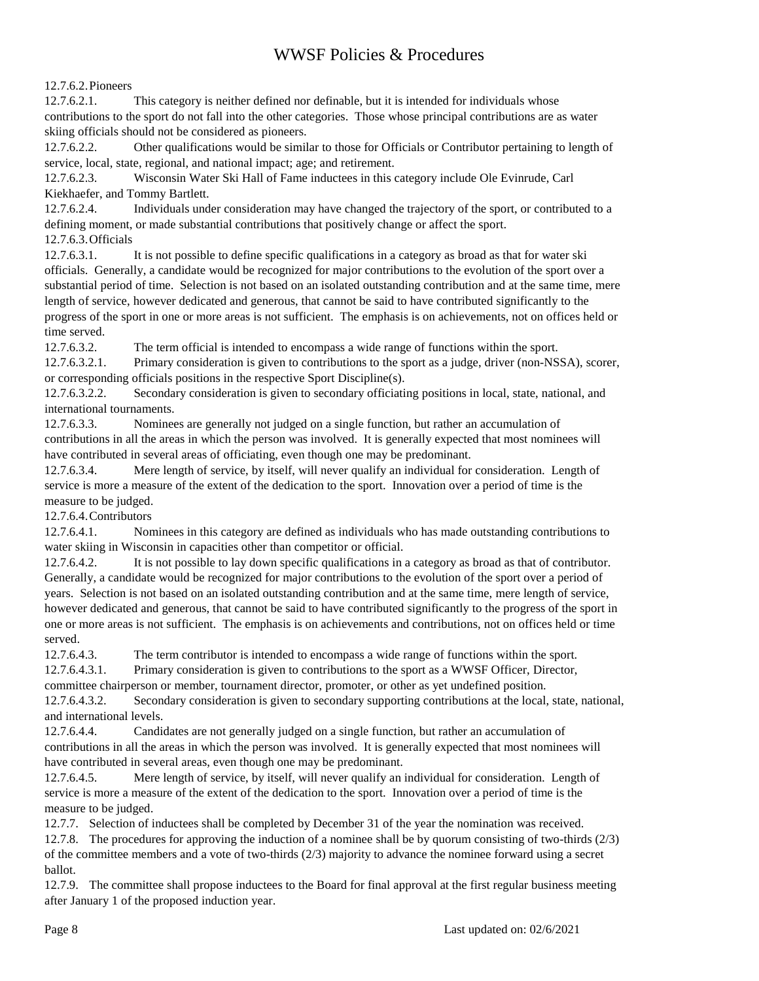### 12.7.6.2.Pioneers

12.7.6.2.1. This category is neither defined nor definable, but it is intended for individuals whose contributions to the sport do not fall into the other categories. Those whose principal contributions are as water skiing officials should not be considered as pioneers.

12.7.6.2.2. Other qualifications would be similar to those for Officials or Contributor pertaining to length of service, local, state, regional, and national impact; age; and retirement.

12.7.6.2.3. Wisconsin Water Ski Hall of Fame inductees in this category include Ole Evinrude, Carl Kiekhaefer, and Tommy Bartlett.

12.7.6.2.4. Individuals under consideration may have changed the trajectory of the sport, or contributed to a defining moment, or made substantial contributions that positively change or affect the sport. 12.7.6.3.Officials

12.7.6.3.1. It is not possible to define specific qualifications in a category as broad as that for water ski officials. Generally, a candidate would be recognized for major contributions to the evolution of the sport over a substantial period of time. Selection is not based on an isolated outstanding contribution and at the same time, mere length of service, however dedicated and generous, that cannot be said to have contributed significantly to the progress of the sport in one or more areas is not sufficient. The emphasis is on achievements, not on offices held or time served.

12.7.6.3.2. The term official is intended to encompass a wide range of functions within the sport.

12.7.6.3.2.1. Primary consideration is given to contributions to the sport as a judge, driver (non-NSSA), scorer, or corresponding officials positions in the respective Sport Discipline(s).

12.7.6.3.2.2. Secondary consideration is given to secondary officiating positions in local, state, national, and international tournaments.

12.7.6.3.3. Nominees are generally not judged on a single function, but rather an accumulation of contributions in all the areas in which the person was involved. It is generally expected that most nominees will have contributed in several areas of officiating, even though one may be predominant.

12.7.6.3.4. Mere length of service, by itself, will never qualify an individual for consideration. Length of service is more a measure of the extent of the dedication to the sport. Innovation over a period of time is the measure to be judged.

12.7.6.4.Contributors

12.7.6.4.1. Nominees in this category are defined as individuals who has made outstanding contributions to water skiing in Wisconsin in capacities other than competitor or official.

12.7.6.4.2. It is not possible to lay down specific qualifications in a category as broad as that of contributor. Generally, a candidate would be recognized for major contributions to the evolution of the sport over a period of years. Selection is not based on an isolated outstanding contribution and at the same time, mere length of service, however dedicated and generous, that cannot be said to have contributed significantly to the progress of the sport in one or more areas is not sufficient. The emphasis is on achievements and contributions, not on offices held or time served.

12.7.6.4.3. The term contributor is intended to encompass a wide range of functions within the sport. 12.7.6.4.3.1. Primary consideration is given to contributions to the sport as a WWSF Officer, Director,

committee chairperson or member, tournament director, promoter, or other as yet undefined position.

12.7.6.4.3.2. Secondary consideration is given to secondary supporting contributions at the local, state, national, and international levels.

12.7.6.4.4. Candidates are not generally judged on a single function, but rather an accumulation of contributions in all the areas in which the person was involved. It is generally expected that most nominees will have contributed in several areas, even though one may be predominant.

12.7.6.4.5. Mere length of service, by itself, will never qualify an individual for consideration. Length of service is more a measure of the extent of the dedication to the sport. Innovation over a period of time is the measure to be judged.

12.7.7. Selection of inductees shall be completed by December 31 of the year the nomination was received.

12.7.8. The procedures for approving the induction of a nominee shall be by quorum consisting of two-thirds (2/3) of the committee members and a vote of two-thirds (2/3) majority to advance the nominee forward using a secret ballot.

12.7.9. The committee shall propose inductees to the Board for final approval at the first regular business meeting after January 1 of the proposed induction year.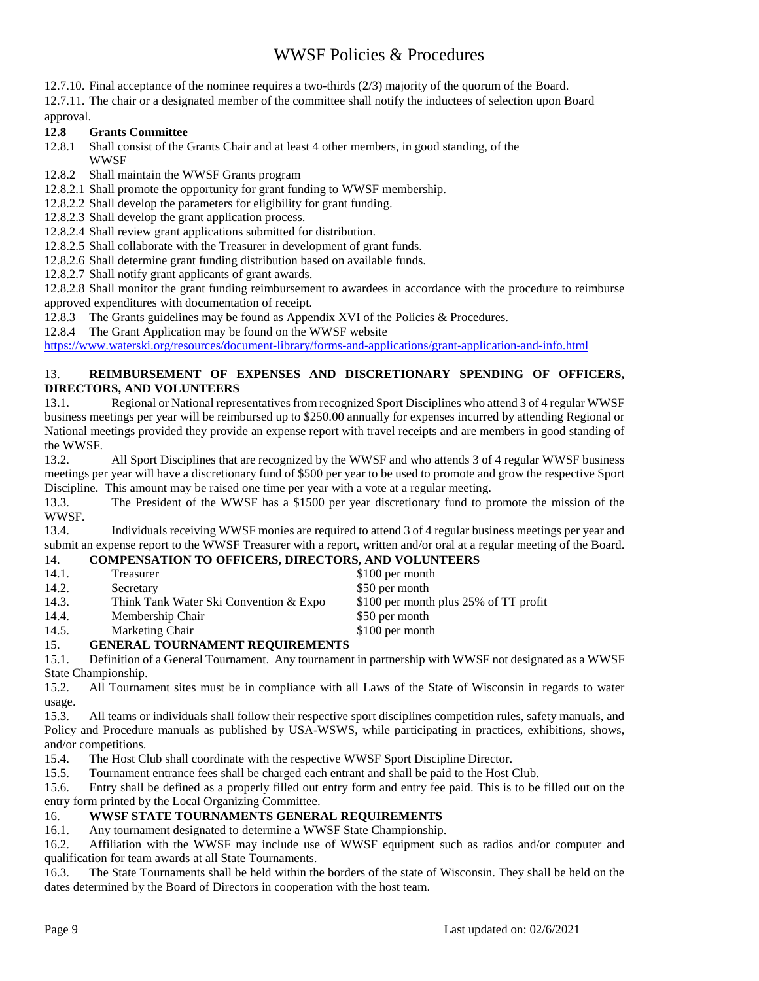12.7.10. Final acceptance of the nominee requires a two-thirds (2/3) majority of the quorum of the Board.

12.7.11. The chair or a designated member of the committee shall notify the inductees of selection upon Board approval.

### **12.8 Grants Committee**

12.8.1 Shall consist of the Grants Chair and at least 4 other members, in good standing, of the **WWSF** 

12.8.2 Shall maintain the WWSF Grants program

12.8.2.1 Shall promote the opportunity for grant funding to WWSF membership.

12.8.2.2 Shall develop the parameters for eligibility for grant funding.

12.8.2.3 Shall develop the grant application process.

12.8.2.4 Shall review grant applications submitted for distribution.

12.8.2.5 Shall collaborate with the Treasurer in development of grant funds.

12.8.2.6 Shall determine grant funding distribution based on available funds.

12.8.2.7 Shall notify grant applicants of grant awards.

12.8.2.8 Shall monitor the grant funding reimbursement to awardees in accordance with the procedure to reimburse approved expenditures with documentation of receipt.

12.8.3 The Grants guidelines may be found as Appendix XVI of the Policies & Procedures.

12.8.4 The Grant Application may be found on the WWSF website

https://www.waterski.org/resources/document-library/forms-and-applications/grant-application-and-info.html

### 13. **REIMBURSEMENT OF EXPENSES AND DISCRETIONARY SPENDING OF OFFICERS, DIRECTORS, AND VOLUNTEERS**

13.1. Regional or National representatives from recognized Sport Disciplines who attend 3 of 4 regular WWSF business meetings per year will be reimbursed up to \$250.00 annually for expenses incurred by attending Regional or National meetings provided they provide an expense report with travel receipts and are members in good standing of the WWSF.

13.2. All Sport Disciplines that are recognized by the WWSF and who attends 3 of 4 regular WWSF business meetings per year will have a discretionary fund of \$500 per year to be used to promote and grow the respective Sport Discipline. This amount may be raised one time per year with a vote at a regular meeting.

13.3. The President of the WWSF has a \$1500 per year discretionary fund to promote the mission of the WWSF.

13.4. Individuals receiving WWSF monies are required to attend 3 of 4 regular business meetings per year and submit an expense report to the WWSF Treasurer with a report, written and/or oral at a regular meeting of the Board.

### 14. **COMPENSATION TO OFFICERS, DIRECTORS, AND VOLUNTEERS**

| - -   |                                        |                                       |
|-------|----------------------------------------|---------------------------------------|
| 14.5. | Marketing Chair                        | \$100 per month                       |
| 14.4. | Membership Chair                       | \$50 per month                        |
| 14.3. | Think Tank Water Ski Convention & Expo | \$100 per month plus 25% of TT profit |
| 14.2. | Secretary                              | \$50 per month                        |
| 14.1. | Treasurer                              | \$100 per month                       |

### 15. **GENERAL TOURNAMENT REQUIREMENTS**

15.1. Definition of a General Tournament. Any tournament in partnership with WWSF not designated as a WWSF State Championship.

15.2. All Tournament sites must be in compliance with all Laws of the State of Wisconsin in regards to water usage.

15.3. All teams or individuals shall follow their respective sport disciplines competition rules, safety manuals, and Policy and Procedure manuals as published by USA-WSWS, while participating in practices, exhibitions, shows, and/or competitions.

15.4. The Host Club shall coordinate with the respective WWSF Sport Discipline Director.

15.5. Tournament entrance fees shall be charged each entrant and shall be paid to the Host Club.

15.6. Entry shall be defined as a properly filled out entry form and entry fee paid. This is to be filled out on the entry form printed by the Local Organizing Committee.

### 16. **WWSF STATE TOURNAMENTS GENERAL REQUIREMENTS**

16.1. Any tournament designated to determine a WWSF State Championship.

16.2. Affiliation with the WWSF may include use of WWSF equipment such as radios and/or computer and qualification for team awards at all State Tournaments.

16.3. The State Tournaments shall be held within the borders of the state of Wisconsin. They shall be held on the dates determined by the Board of Directors in cooperation with the host team.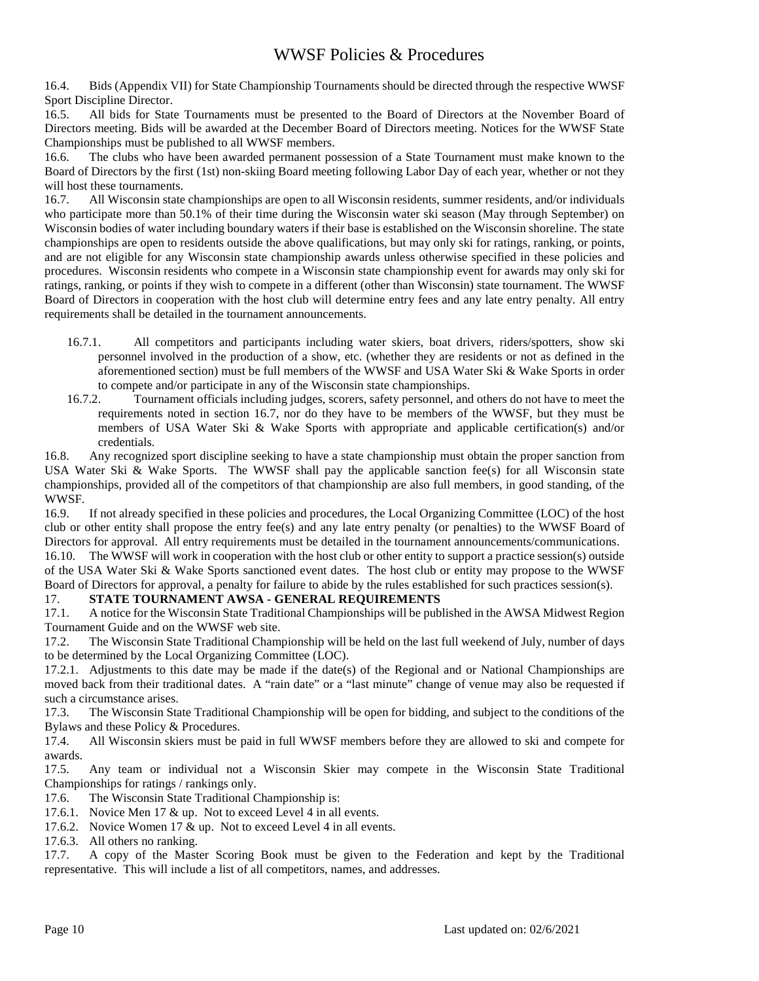16.4. Bids (Appendix VII) for State Championship Tournaments should be directed through the respective WWSF Sport Discipline Director.

16.5. All bids for State Tournaments must be presented to the Board of Directors at the November Board of Directors meeting. Bids will be awarded at the December Board of Directors meeting. Notices for the WWSF State Championships must be published to all WWSF members.

16.6. The clubs who have been awarded permanent possession of a State Tournament must make known to the Board of Directors by the first (1st) non-skiing Board meeting following Labor Day of each year, whether or not they will host these tournaments.

16.7. All Wisconsin state championships are open to all Wisconsin residents, summer residents, and/or individuals who participate more than 50.1% of their time during the Wisconsin water ski season (May through September) on Wisconsin bodies of water including boundary waters if their base is established on the Wisconsin shoreline. The state championships are open to residents outside the above qualifications, but may only ski for ratings, ranking, or points, and are not eligible for any Wisconsin state championship awards unless otherwise specified in these policies and procedures. Wisconsin residents who compete in a Wisconsin state championship event for awards may only ski for ratings, ranking, or points if they wish to compete in a different (other than Wisconsin) state tournament. The WWSF Board of Directors in cooperation with the host club will determine entry fees and any late entry penalty. All entry requirements shall be detailed in the tournament announcements.

- 16.7.1. All competitors and participants including water skiers, boat drivers, riders/spotters, show ski personnel involved in the production of a show, etc. (whether they are residents or not as defined in the aforementioned section) must be full members of the WWSF and USA Water Ski & Wake Sports in order to compete and/or participate in any of the Wisconsin state championships.
- 16.7.2. Tournament officials including judges, scorers, safety personnel, and others do not have to meet the requirements noted in section 16.7, nor do they have to be members of the WWSF, but they must be members of USA Water Ski & Wake Sports with appropriate and applicable certification(s) and/or credentials.

16.8. Any recognized sport discipline seeking to have a state championship must obtain the proper sanction from USA Water Ski & Wake Sports. The WWSF shall pay the applicable sanction fee(s) for all Wisconsin state championships, provided all of the competitors of that championship are also full members, in good standing, of the WWSF.

16.9. If not already specified in these policies and procedures, the Local Organizing Committee (LOC) of the host club or other entity shall propose the entry fee(s) and any late entry penalty (or penalties) to the WWSF Board of Directors for approval. All entry requirements must be detailed in the tournament announcements/communications.

16.10. The WWSF will work in cooperation with the host club or other entity to support a practice session(s) outside of the USA Water Ski & Wake Sports sanctioned event dates. The host club or entity may propose to the WWSF Board of Directors for approval, a penalty for failure to abide by the rules established for such practices session(s).

# 17. **STATE TOURNAMENT AWSA - GENERAL REQUIREMENTS**

17.1. A notice for the Wisconsin State Traditional Championships will be published in the AWSA Midwest Region Tournament Guide and on the WWSF web site.

17.2. The Wisconsin State Traditional Championship will be held on the last full weekend of July, number of days to be determined by the Local Organizing Committee (LOC).

17.2.1. Adjustments to this date may be made if the date(s) of the Regional and or National Championships are moved back from their traditional dates. A "rain date" or a "last minute" change of venue may also be requested if such a circumstance arises.

17.3. The Wisconsin State Traditional Championship will be open for bidding, and subject to the conditions of the Bylaws and these Policy & Procedures.

17.4. All Wisconsin skiers must be paid in full WWSF members before they are allowed to ski and compete for awards.

17.5. Any team or individual not a Wisconsin Skier may compete in the Wisconsin State Traditional Championships for ratings / rankings only.

17.6. The Wisconsin State Traditional Championship is:

17.6.1. Novice Men 17 & up. Not to exceed Level 4 in all events.

17.6.2. Novice Women 17 & up. Not to exceed Level 4 in all events.

17.6.3. All others no ranking.

17.7. A copy of the Master Scoring Book must be given to the Federation and kept by the Traditional representative. This will include a list of all competitors, names, and addresses.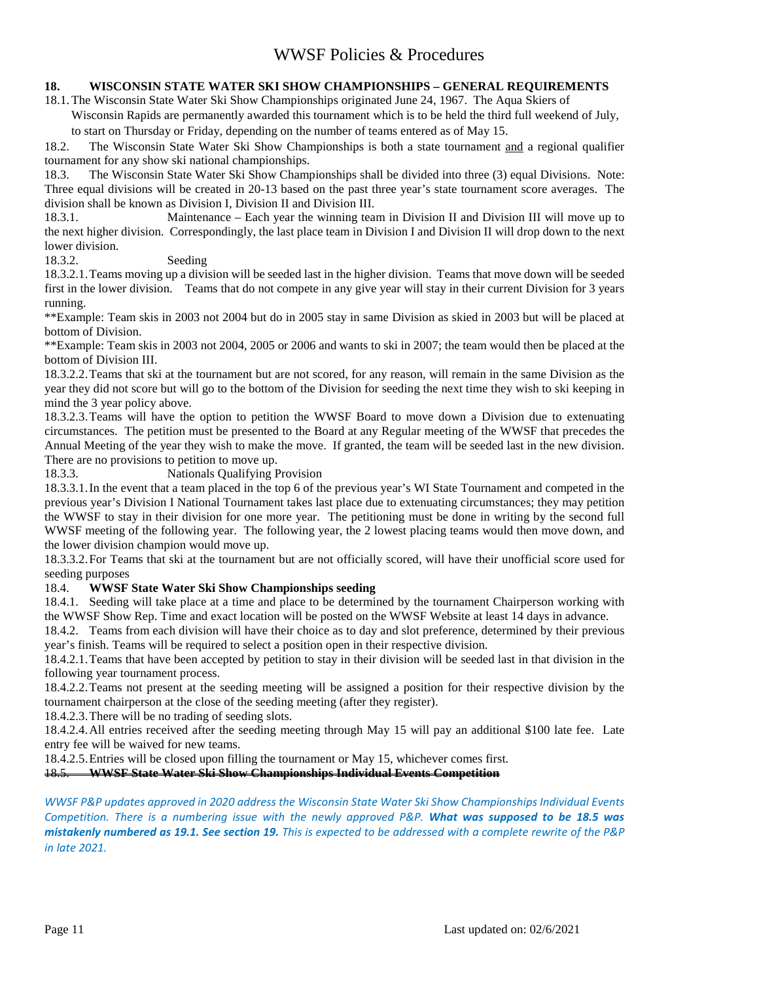### **18. WISCONSIN STATE WATER SKI SHOW CHAMPIONSHIPS – GENERAL REQUIREMENTS**

18.1.The Wisconsin State Water Ski Show Championships originated June 24, 1967. The Aqua Skiers of

Wisconsin Rapids are permanently awarded this tournament which is to be held the third full weekend of July, to start on Thursday or Friday, depending on the number of teams entered as of May 15.

18.2. The Wisconsin State Water Ski Show Championships is both a state tournament and a regional qualifier tournament for any show ski national championships.

18.3. The Wisconsin State Water Ski Show Championships shall be divided into three (3) equal Divisions. Note: Three equal divisions will be created in 20-13 based on the past three year's state tournament score averages. The division shall be known as Division I, Division II and Division III.

18.3.1. Maintenance – Each year the winning team in Division II and Division III will move up to the next higher division. Correspondingly, the last place team in Division I and Division II will drop down to the next lower division.<br>18.3.2.

#### Seeding

18.3.2.1.Teams moving up a division will be seeded last in the higher division. Teams that move down will be seeded first in the lower division. Teams that do not compete in any give year will stay in their current Division for 3 years running.

\*\*Example: Team skis in 2003 not 2004 but do in 2005 stay in same Division as skied in 2003 but will be placed at bottom of Division.

\*\*Example: Team skis in 2003 not 2004, 2005 or 2006 and wants to ski in 2007; the team would then be placed at the bottom of Division III.

18.3.2.2.Teams that ski at the tournament but are not scored, for any reason, will remain in the same Division as the year they did not score but will go to the bottom of the Division for seeding the next time they wish to ski keeping in mind the 3 year policy above.

18.3.2.3.Teams will have the option to petition the WWSF Board to move down a Division due to extenuating circumstances. The petition must be presented to the Board at any Regular meeting of the WWSF that precedes the Annual Meeting of the year they wish to make the move. If granted, the team will be seeded last in the new division. There are no provisions to petition to move up.

18.3.3. Nationals Qualifying Provision

18.3.3.1.In the event that a team placed in the top 6 of the previous year's WI State Tournament and competed in the previous year's Division I National Tournament takes last place due to extenuating circumstances; they may petition the WWSF to stay in their division for one more year. The petitioning must be done in writing by the second full WWSF meeting of the following year. The following year, the 2 lowest placing teams would then move down, and the lower division champion would move up.

18.3.3.2.For Teams that ski at the tournament but are not officially scored, will have their unofficial score used for seeding purposes

#### 18.4. **WWSF State Water Ski Show Championships seeding**

18.4.1. Seeding will take place at a time and place to be determined by the tournament Chairperson working with the WWSF Show Rep. Time and exact location will be posted on the WWSF Website at least 14 days in advance.

18.4.2. Teams from each division will have their choice as to day and slot preference, determined by their previous year's finish. Teams will be required to select a position open in their respective division.

18.4.2.1.Teams that have been accepted by petition to stay in their division will be seeded last in that division in the following year tournament process.

18.4.2.2.Teams not present at the seeding meeting will be assigned a position for their respective division by the tournament chairperson at the close of the seeding meeting (after they register).

18.4.2.3.There will be no trading of seeding slots.

18.4.2.4.All entries received after the seeding meeting through May 15 will pay an additional \$100 late fee. Late entry fee will be waived for new teams.

18.4.2.5.Entries will be closed upon filling the tournament or May 15, whichever comes first.

18.5. **WWSF State Water Ski Show Championships Individual Events Competition**

WWSF P&P updates approved in 2020 address the Wisconsin State Water Ski Show Championships Individual Events Competition. There is a numbering issue with the newly approved P&P. What was supposed to be 18.5 was mistakenly numbered as 19.1. See section 19. This is expected to be addressed with a complete rewrite of the P&P in late 2021.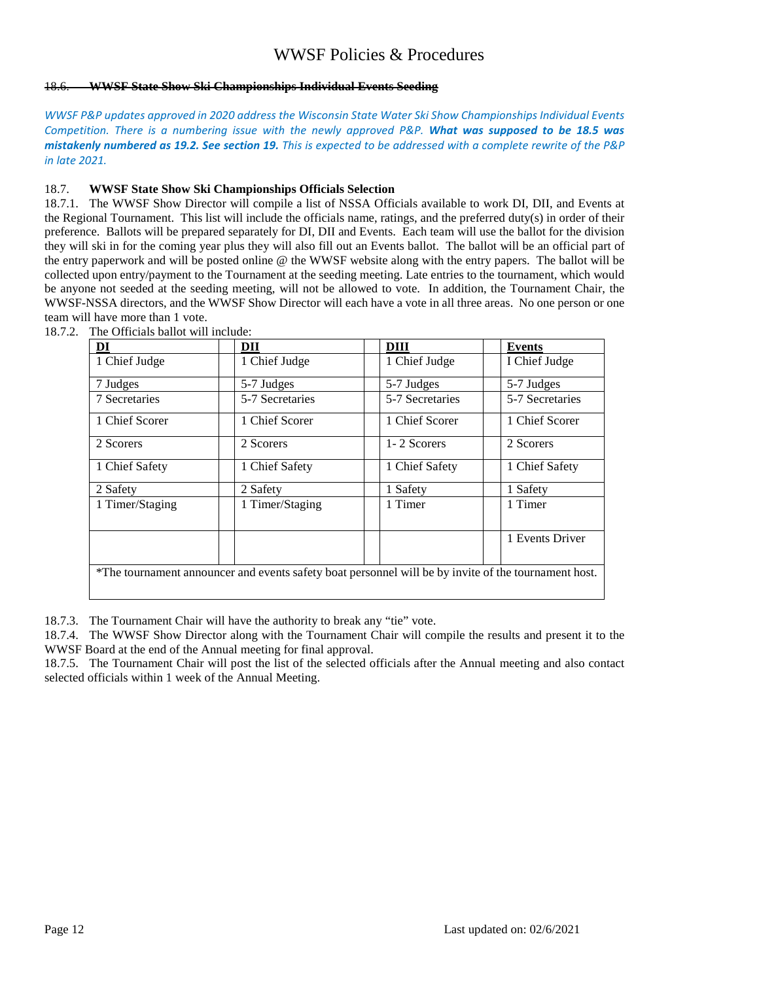#### 18.6. **WWSF State Show Ski Championships Individual Events Seeding**

WWSF P&P updates approved in 2020 address the Wisconsin State Water Ski Show Championships Individual Events Competition. There is a numbering issue with the newly approved P&P. What was supposed to be 18.5 was mistakenly numbered as 19.2. See section 19. This is expected to be addressed with a complete rewrite of the P&P in late 2021.

#### 18.7. **WWSF State Show Ski Championships Officials Selection**

18.7.1. The WWSF Show Director will compile a list of NSSA Officials available to work DI, DII, and Events at the Regional Tournament. This list will include the officials name, ratings, and the preferred duty(s) in order of their preference. Ballots will be prepared separately for DI, DII and Events. Each team will use the ballot for the division they will ski in for the coming year plus they will also fill out an Events ballot. The ballot will be an official part of the entry paperwork and will be posted online @ the WWSF website along with the entry papers. The ballot will be collected upon entry/payment to the Tournament at the seeding meeting. Late entries to the tournament, which would be anyone not seeded at the seeding meeting, will not be allowed to vote. In addition, the Tournament Chair, the WWSF-NSSA directors, and the WWSF Show Director will each have a vote in all three areas. No one person or one team will have more than 1 vote.

| DI                                                                                                   | DП              | DIII            | <b>Events</b>   |  |  |
|------------------------------------------------------------------------------------------------------|-----------------|-----------------|-----------------|--|--|
| 1 Chief Judge                                                                                        | 1 Chief Judge   | 1 Chief Judge   | I Chief Judge   |  |  |
| 7 Judges                                                                                             | 5-7 Judges      | 5-7 Judges      | 5-7 Judges      |  |  |
| 7 Secretaries                                                                                        | 5-7 Secretaries | 5-7 Secretaries | 5-7 Secretaries |  |  |
| 1 Chief Scorer                                                                                       | 1 Chief Scorer  | 1 Chief Scorer  | 1 Chief Scorer  |  |  |
| 2 Scorers                                                                                            | 2 Scorers       | 1-2 Scorers     | 2 Scorers       |  |  |
| 1 Chief Safety                                                                                       | 1 Chief Safety  | 1 Chief Safety  | 1 Chief Safety  |  |  |
| 2 Safety                                                                                             | 2 Safety        | 1 Safety        | 1 Safety        |  |  |
| 1 Timer/Staging                                                                                      | 1 Timer/Staging | 1 Timer         | 1 Timer         |  |  |
|                                                                                                      |                 |                 | 1 Events Driver |  |  |
| *The tournament announcer and events safety boat personnel will be by invite of the tournament host. |                 |                 |                 |  |  |

18.7.2. The Officials ballot will include:

18.7.3. The Tournament Chair will have the authority to break any "tie" vote.

18.7.4. The WWSF Show Director along with the Tournament Chair will compile the results and present it to the WWSF Board at the end of the Annual meeting for final approval.

18.7.5. The Tournament Chair will post the list of the selected officials after the Annual meeting and also contact selected officials within 1 week of the Annual Meeting.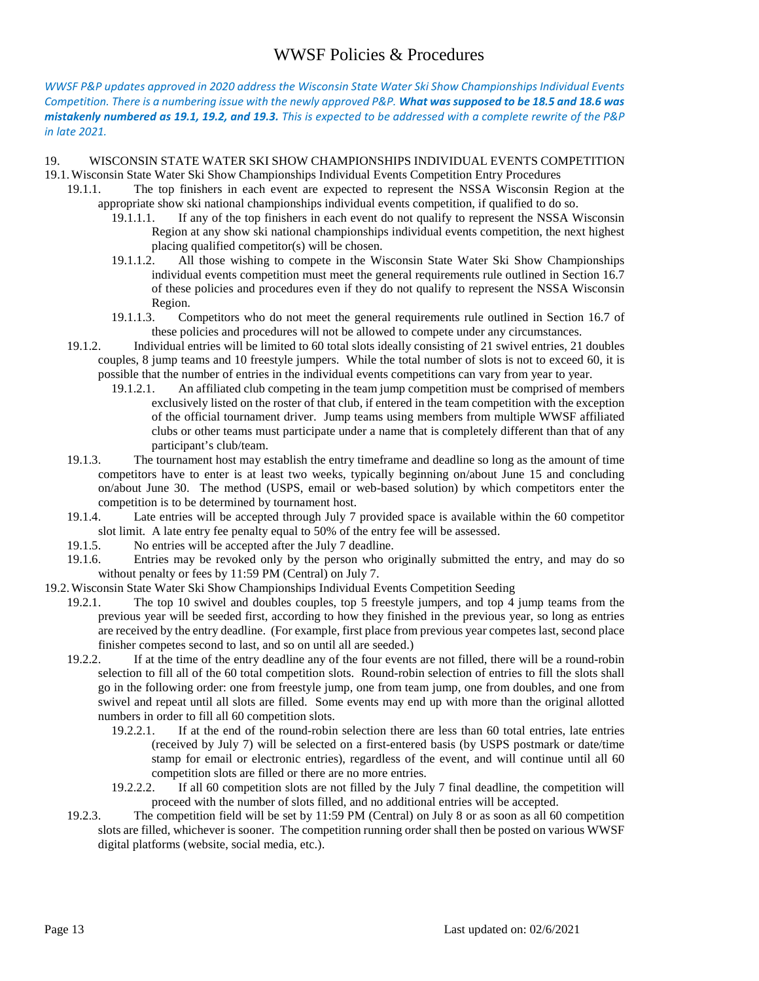WWSF P&P updates approved in 2020 address the Wisconsin State Water Ski Show Championships Individual Events Competition. There is a numbering issue with the newly approved P&P. What was supposed to be 18.5 and 18.6 was mistakenly numbered as 19.1, 19.2, and 19.3. This is expected to be addressed with a complete rewrite of the P&P in late 2021.

### 19. WISCONSIN STATE WATER SKI SHOW CHAMPIONSHIPS INDIVIDUAL EVENTS COMPETITION 19.1.Wisconsin State Water Ski Show Championships Individual Events Competition Entry Procedures

- 19.1.1. The top finishers in each event are expected to represent the NSSA Wisconsin Region at the appropriate show ski national championships individual events competition, if qualified to do so.
	- 19.1.1.1. If any of the top finishers in each event do not qualify to represent the NSSA Wisconsin Region at any show ski national championships individual events competition, the next highest placing qualified competitor(s) will be chosen.
	- 19.1.1.2. All those wishing to compete in the Wisconsin State Water Ski Show Championships individual events competition must meet the general requirements rule outlined in Section 16.7 of these policies and procedures even if they do not qualify to represent the NSSA Wisconsin Region.
	- 19.1.1.3. Competitors who do not meet the general requirements rule outlined in Section 16.7 of these policies and procedures will not be allowed to compete under any circumstances.
	- 19.1.2. Individual entries will be limited to 60 total slots ideally consisting of 21 swivel entries, 21 doubles couples, 8 jump teams and 10 freestyle jumpers. While the total number of slots is not to exceed 60, it is possible that the number of entries in the individual events competitions can vary from year to year.
		- 19.1.2.1. An affiliated club competing in the team jump competition must be comprised of members exclusively listed on the roster of that club, if entered in the team competition with the exception of the official tournament driver. Jump teams using members from multiple WWSF affiliated clubs or other teams must participate under a name that is completely different than that of any participant's club/team.
	- 19.1.3. The tournament host may establish the entry timeframe and deadline so long as the amount of time competitors have to enter is at least two weeks, typically beginning on/about June 15 and concluding on/about June 30. The method (USPS, email or web-based solution) by which competitors enter the competition is to be determined by tournament host.
	- 19.1.4. Late entries will be accepted through July 7 provided space is available within the 60 competitor slot limit. A late entry fee penalty equal to 50% of the entry fee will be assessed.
	- 19.1.5. No entries will be accepted after the July 7 deadline.
	- 19.1.6. Entries may be revoked only by the person who originally submitted the entry, and may do so without penalty or fees by 11:59 PM (Central) on July 7.
- 19.2.Wisconsin State Water Ski Show Championships Individual Events Competition Seeding
	- 19.2.1. The top 10 swivel and doubles couples, top 5 freestyle jumpers, and top 4 jump teams from the previous year will be seeded first, according to how they finished in the previous year, so long as entries are received by the entry deadline. (For example, first place from previous year competes last, second place finisher competes second to last, and so on until all are seeded.)
	- 19.2.2. If at the time of the entry deadline any of the four events are not filled, there will be a round-robin selection to fill all of the 60 total competition slots. Round-robin selection of entries to fill the slots shall go in the following order: one from freestyle jump, one from team jump, one from doubles, and one from swivel and repeat until all slots are filled. Some events may end up with more than the original allotted numbers in order to fill all 60 competition slots.
		- 19.2.2.1. If at the end of the round-robin selection there are less than 60 total entries, late entries (received by July 7) will be selected on a first-entered basis (by USPS postmark or date/time stamp for email or electronic entries), regardless of the event, and will continue until all 60 competition slots are filled or there are no more entries.
		- 19.2.2.2. If all 60 competition slots are not filled by the July 7 final deadline, the competition will proceed with the number of slots filled, and no additional entries will be accepted.
	- 19.2.3. The competition field will be set by 11:59 PM (Central) on July 8 or as soon as all 60 competition slots are filled, whichever is sooner. The competition running order shall then be posted on various WWSF digital platforms (website, social media, etc.).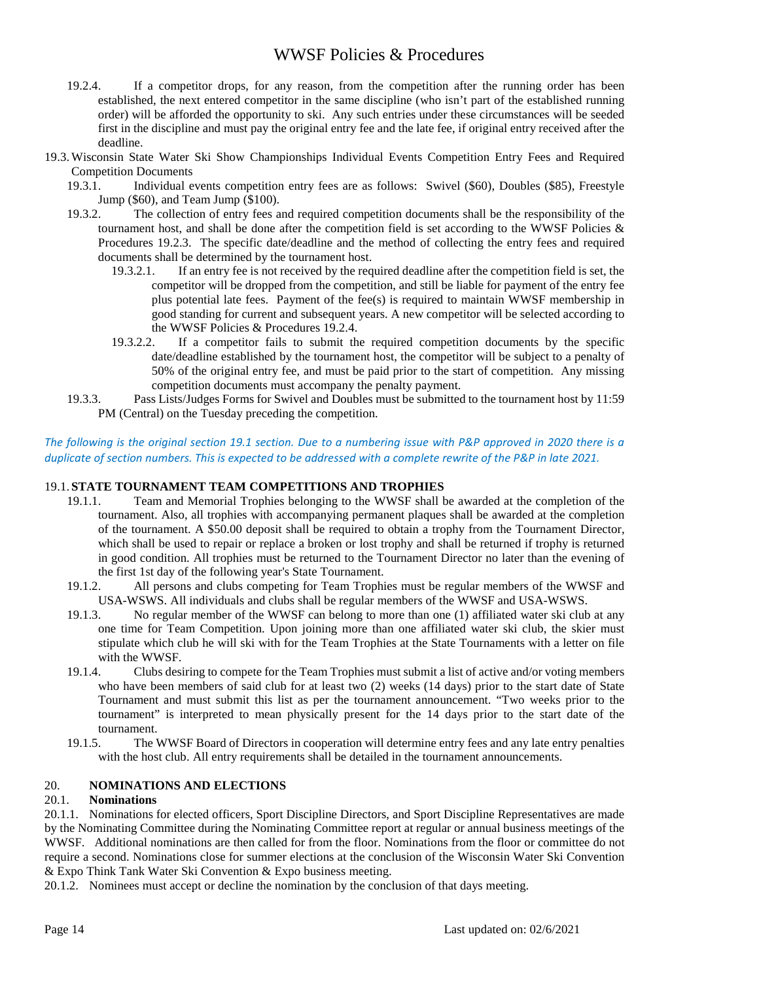- 19.2.4. If a competitor drops, for any reason, from the competition after the running order has been established, the next entered competitor in the same discipline (who isn't part of the established running order) will be afforded the opportunity to ski. Any such entries under these circumstances will be seeded first in the discipline and must pay the original entry fee and the late fee, if original entry received after the deadline.
- 19.3.Wisconsin State Water Ski Show Championships Individual Events Competition Entry Fees and Required Competition Documents
	- 19.3.1. Individual events competition entry fees are as follows: Swivel (\$60), Doubles (\$85), Freestyle Jump (\$60), and Team Jump (\$100).
	- 19.3.2. The collection of entry fees and required competition documents shall be the responsibility of the tournament host, and shall be done after the competition field is set according to the WWSF Policies  $\&$ Procedures 19.2.3. The specific date/deadline and the method of collecting the entry fees and required documents shall be determined by the tournament host.
		- 19.3.2.1. If an entry fee is not received by the required deadline after the competition field is set, the competitor will be dropped from the competition, and still be liable for payment of the entry fee plus potential late fees. Payment of the fee(s) is required to maintain WWSF membership in good standing for current and subsequent years. A new competitor will be selected according to the WWSF Policies & Procedures 19.2.4.
		- 19.3.2.2. If a competitor fails to submit the required competition documents by the specific date/deadline established by the tournament host, the competitor will be subject to a penalty of 50% of the original entry fee, and must be paid prior to the start of competition. Any missing competition documents must accompany the penalty payment.
	- 19.3.3. Pass Lists/Judges Forms for Swivel and Doubles must be submitted to the tournament host by 11:59 PM (Central) on the Tuesday preceding the competition.

### The following is the original section 19.1 section. Due to a numbering issue with P&P approved in 2020 there is a duplicate of section numbers. This is expected to be addressed with a complete rewrite of the P&P in late 2021.

### 19.1. **STATE TOURNAMENT TEAM COMPETITIONS AND TROPHIES**

- 19.1.1. Team and Memorial Trophies belonging to the WWSF shall be awarded at the completion of the tournament. Also, all trophies with accompanying permanent plaques shall be awarded at the completion of the tournament. A \$50.00 deposit shall be required to obtain a trophy from the Tournament Director, which shall be used to repair or replace a broken or lost trophy and shall be returned if trophy is returned in good condition. All trophies must be returned to the Tournament Director no later than the evening of the first 1st day of the following year's State Tournament.
- 19.1.2. All persons and clubs competing for Team Trophies must be regular members of the WWSF and USA-WSWS. All individuals and clubs shall be regular members of the WWSF and USA-WSWS.
- 19.1.3. No regular member of the WWSF can belong to more than one (1) affiliated water ski club at any one time for Team Competition. Upon joining more than one affiliated water ski club, the skier must stipulate which club he will ski with for the Team Trophies at the State Tournaments with a letter on file with the WWSF.
- 19.1.4. Clubs desiring to compete for the Team Trophies must submit a list of active and/or voting members who have been members of said club for at least two (2) weeks (14 days) prior to the start date of State Tournament and must submit this list as per the tournament announcement. "Two weeks prior to the tournament" is interpreted to mean physically present for the 14 days prior to the start date of the tournament.
- 19.1.5. The WWSF Board of Directors in cooperation will determine entry fees and any late entry penalties with the host club. All entry requirements shall be detailed in the tournament announcements.

### 20. **NOMINATIONS AND ELECTIONS**

#### 20.1. **Nominations**

20.1.1. Nominations for elected officers, Sport Discipline Directors, and Sport Discipline Representatives are made by the Nominating Committee during the Nominating Committee report at regular or annual business meetings of the WWSF. Additional nominations are then called for from the floor. Nominations from the floor or committee do not require a second. Nominations close for summer elections at the conclusion of the Wisconsin Water Ski Convention & Expo Think Tank Water Ski Convention & Expo business meeting.

20.1.2. Nominees must accept or decline the nomination by the conclusion of that days meeting.